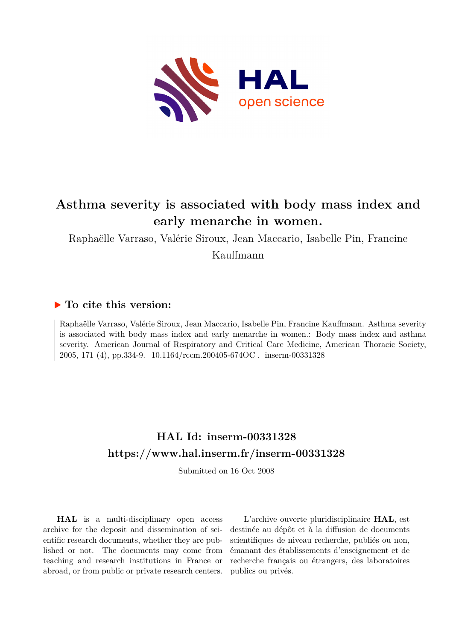

# **Asthma severity is associated with body mass index and early menarche in women.**

Raphaëlle Varraso, Valérie Siroux, Jean Maccario, Isabelle Pin, Francine Kauffmann

### **To cite this version:**

Raphaëlle Varraso, Valérie Siroux, Jean Maccario, Isabelle Pin, Francine Kauffmann. Asthma severity is associated with body mass index and early menarche in women.: Body mass index and asthma severity. American Journal of Respiratory and Critical Care Medicine, American Thoracic Society, 2005, 171 (4), pp.334-9. 10.1164/rccm.200405-674OC. inserm-00331328

## **HAL Id: inserm-00331328 <https://www.hal.inserm.fr/inserm-00331328>**

Submitted on 16 Oct 2008

**HAL** is a multi-disciplinary open access archive for the deposit and dissemination of scientific research documents, whether they are published or not. The documents may come from teaching and research institutions in France or abroad, or from public or private research centers.

L'archive ouverte pluridisciplinaire **HAL**, est destinée au dépôt et à la diffusion de documents scientifiques de niveau recherche, publiés ou non, émanant des établissements d'enseignement et de recherche français ou étrangers, des laboratoires publics ou privés.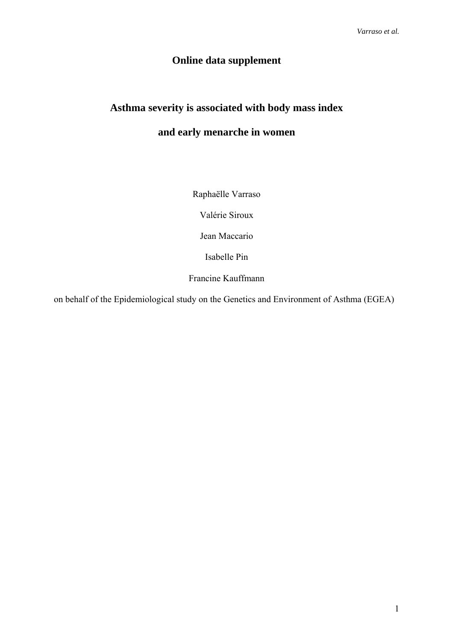### **Online data supplement**

# **Asthma severity is associated with body mass index**

## **and early menarche in women**

Raphaëlle Varraso

Valérie Siroux

Jean Maccario

Isabelle Pin

Francine Kauffmann

on behalf of the Epidemiological study on the Genetics and Environment of Asthma (EGEA)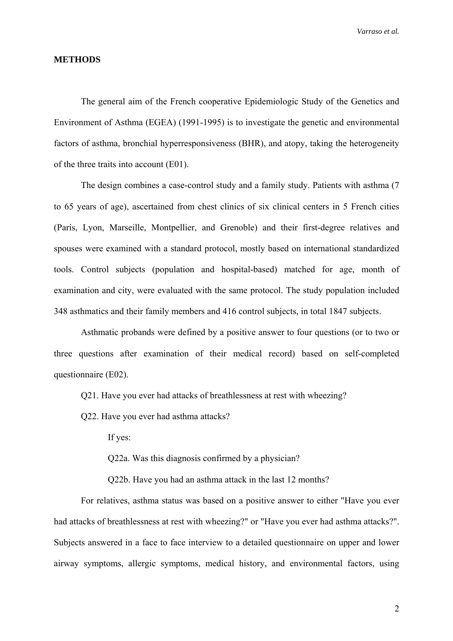### **METHODS**

The general aim of the French cooperative Epidemiologic Study of the Genetics and Environment of Asthma (EGEA) (1991-1995) is to investigate the genetic and environmental factors of asthma, bronchial hyperresponsiveness (BHR), and atopy, taking the heterogeneity of the three traits into account (E01).

The design combines a case-control study and a family study. Patients with asthma (7 to 65 years of age), ascertained from chest clinics of six clinical centers in 5 French cities (Paris, Lyon, Marseille, Montpellier, and Grenoble) and their first-degree relatives and spouses were examined with a standard protocol, mostly based on international standardized tools. Control subjects (population and hospital-based) matched for age, month of examination and city, were evaluated with the same protocol. The study population included 348 asthmatics and their family members and 416 control subjects, in total 1847 subjects.

Asthmatic probands were defined by a positive answer to four questions (or to two or three questions after examination of their medical record) based on self-completed questionnaire (E02).

Q21. Have you ever had attacks of breathlessness at rest with wheezing?

Q22. Have you ever had asthma attacks?

If yes:

Q22a. Was this diagnosis confirmed by a physician?

Q22b. Have you had an asthma attack in the last 12 months?

For relatives, asthma status was based on a positive answer to either "Have you ever had attacks of breathlessness at rest with wheezing?" or "Have you ever had asthma attacks?". Subjects answered in a face to face interview to a detailed questionnaire on upper and lower airway symptoms, allergic symptoms, medical history, and environmental factors, using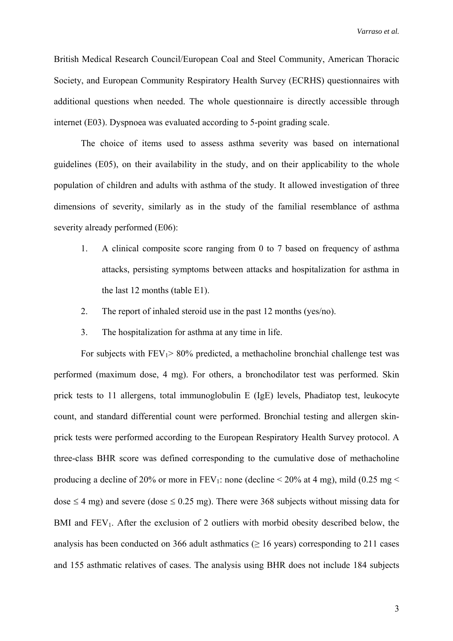British Medical Research Council/European Coal and Steel Community, American Thoracic Society, and European Community Respiratory Health Survey (ECRHS) questionnaires with additional questions when needed. The whole questionnaire is directly accessible through internet (E03). Dyspnoea was evaluated according to 5-point grading scale.

The choice of items used to assess asthma severity was based on international guidelines (E05), on their availability in the study, and on their applicability to the whole population of children and adults with asthma of the study. It allowed investigation of three dimensions of severity, similarly as in the study of the familial resemblance of asthma severity already performed (E06):

- 1. A clinical composite score ranging from 0 to 7 based on frequency of asthma attacks, persisting symptoms between attacks and hospitalization for asthma in the last 12 months (table E1).
- 2. The report of inhaled steroid use in the past 12 months (yes/no).
- 3. The hospitalization for asthma at any time in life.

For subjects with  $FEV_1 > 80\%$  predicted, a methacholine bronchial challenge test was performed (maximum dose, 4 mg). For others, a bronchodilator test was performed. Skin prick tests to 11 allergens, total immunoglobulin E (IgE) levels, Phadiatop test, leukocyte count, and standard differential count were performed. Bronchial testing and allergen skinprick tests were performed according to the European Respiratory Health Survey protocol. A three-class BHR score was defined corresponding to the cumulative dose of methacholine producing a decline of 20% or more in  $FEV_1$ : none (decline < 20% at 4 mg), mild (0.25 mg < dose  $\leq$  4 mg) and severe (dose  $\leq$  0.25 mg). There were 368 subjects without missing data for BMI and  $FEV<sub>1</sub>$ . After the exclusion of 2 outliers with morbid obesity described below, the analysis has been conducted on 366 adult asthmatics ( $\geq$  16 years) corresponding to 211 cases and 155 asthmatic relatives of cases. The analysis using BHR does not include 184 subjects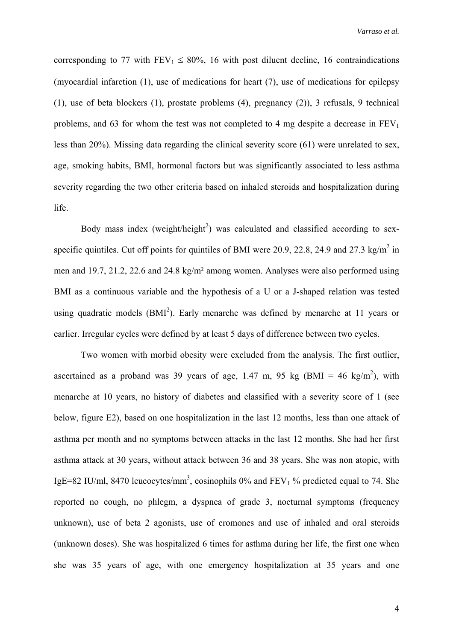corresponding to 77 with  $FEV_1 \le 80\%$ , 16 with post diluent decline, 16 contraindications (myocardial infarction (1), use of medications for heart (7), use of medications for epilepsy (1), use of beta blockers (1), prostate problems (4), pregnancy (2)), 3 refusals, 9 technical problems, and 63 for whom the test was not completed to 4 mg despite a decrease in  $FEV<sub>1</sub>$ less than 20%). Missing data regarding the clinical severity score (61) were unrelated to sex, age, smoking habits, BMI, hormonal factors but was significantly associated to less asthma severity regarding the two other criteria based on inhaled steroids and hospitalization during life.

Body mass index (weight/height<sup>2</sup>) was calculated and classified according to sexspecific quintiles. Cut off points for quintiles of BMI were 20.9, 22.8, 24.9 and 27.3 kg/m<sup>2</sup> in men and 19.7, 21.2, 22.6 and 24.8 kg/m² among women. Analyses were also performed using BMI as a continuous variable and the hypothesis of a U or a J-shaped relation was tested using quadratic models  $(BMI<sup>2</sup>)$ . Early menarche was defined by menarche at 11 years or earlier. Irregular cycles were defined by at least 5 days of difference between two cycles.

Two women with morbid obesity were excluded from the analysis. The first outlier, ascertained as a proband was 39 years of age, 1.47 m, 95 kg (BMI = 46 kg/m<sup>2</sup>), with menarche at 10 years, no history of diabetes and classified with a severity score of 1 (see below, figure E2), based on one hospitalization in the last 12 months, less than one attack of asthma per month and no symptoms between attacks in the last 12 months. She had her first asthma attack at 30 years, without attack between 36 and 38 years. She was non atopic, with IgE=82 IU/ml, 8470 leucocytes/mm<sup>3</sup>, eosinophils 0% and FEV<sub>1</sub> % predicted equal to 74. She reported no cough, no phlegm, a dyspnea of grade 3, nocturnal symptoms (frequency unknown), use of beta 2 agonists, use of cromones and use of inhaled and oral steroids (unknown doses). She was hospitalized 6 times for asthma during her life, the first one when she was 35 years of age, with one emergency hospitalization at 35 years and one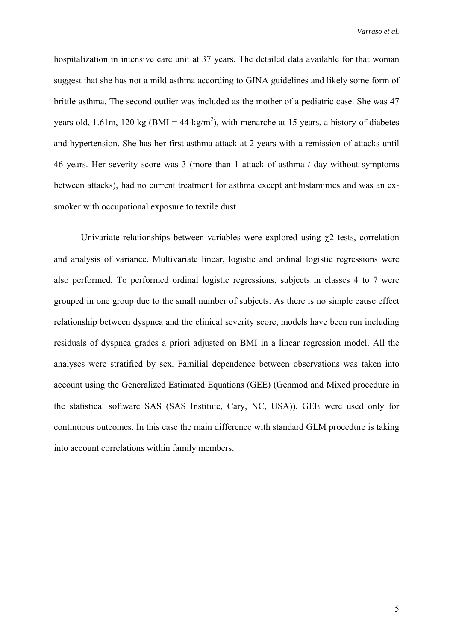hospitalization in intensive care unit at 37 years. The detailed data available for that woman suggest that she has not a mild asthma according to GINA guidelines and likely some form of brittle asthma. The second outlier was included as the mother of a pediatric case. She was 47 years old, 1.61m, 120 kg (BMI = 44 kg/m<sup>2</sup>), with menarche at 15 years, a history of diabetes and hypertension. She has her first asthma attack at 2 years with a remission of attacks until 46 years. Her severity score was 3 (more than 1 attack of asthma / day without symptoms between attacks), had no current treatment for asthma except antihistaminics and was an exsmoker with occupational exposure to textile dust.

Univariate relationships between variables were explored using  $\gamma$ 2 tests, correlation and analysis of variance. Multivariate linear, logistic and ordinal logistic regressions were also performed. To performed ordinal logistic regressions, subjects in classes 4 to 7 were grouped in one group due to the small number of subjects. As there is no simple cause effect relationship between dyspnea and the clinical severity score, models have been run including residuals of dyspnea grades a priori adjusted on BMI in a linear regression model. All the analyses were stratified by sex. Familial dependence between observations was taken into account using the Generalized Estimated Equations (GEE) (Genmod and Mixed procedure in the statistical software SAS (SAS Institute, Cary, NC, USA)). GEE were used only for continuous outcomes. In this case the main difference with standard GLM procedure is taking into account correlations within family members.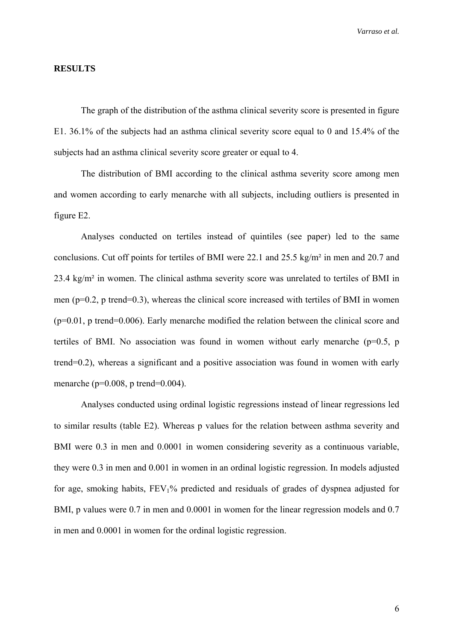#### **RESULTS**

The graph of the distribution of the asthma clinical severity score is presented in figure E1. 36.1% of the subjects had an asthma clinical severity score equal to 0 and 15.4% of the subjects had an asthma clinical severity score greater or equal to 4.

The distribution of BMI according to the clinical asthma severity score among men and women according to early menarche with all subjects, including outliers is presented in figure E2.

Analyses conducted on tertiles instead of quintiles (see paper) led to the same conclusions. Cut off points for tertiles of BMI were 22.1 and 25.5 kg/m² in men and 20.7 and 23.4 kg/m² in women. The clinical asthma severity score was unrelated to tertiles of BMI in men (p=0.2, p trend=0.3), whereas the clinical score increased with tertiles of BMI in women (p=0.01, p trend=0.006). Early menarche modified the relation between the clinical score and tertiles of BMI. No association was found in women without early menarche ( $p=0.5$ , p trend=0.2), whereas a significant and a positive association was found in women with early menarche (p=0.008, p trend=0.004).

Analyses conducted using ordinal logistic regressions instead of linear regressions led to similar results (table E2). Whereas p values for the relation between asthma severity and BMI were 0.3 in men and 0.0001 in women considering severity as a continuous variable, they were 0.3 in men and 0.001 in women in an ordinal logistic regression. In models adjusted for age, smoking habits, FEV1% predicted and residuals of grades of dyspnea adjusted for BMI, p values were 0.7 in men and 0.0001 in women for the linear regression models and 0.7 in men and 0.0001 in women for the ordinal logistic regression.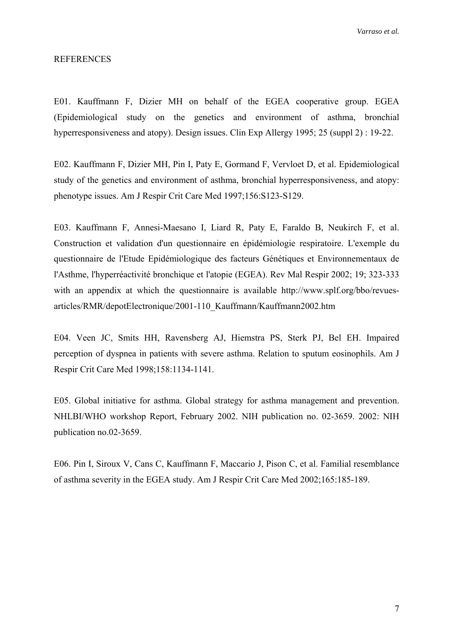#### REFERENCES

E01. Kauffmann F, Dizier MH on behalf of the EGEA cooperative group. EGEA (Epidemiological study on the genetics and environment of asthma, bronchial hyperresponsiveness and atopy). Design issues. Clin Exp Allergy 1995; 25 (suppl 2) : 19-22.

E02. Kauffmann F, Dizier MH, Pin I, Paty E, Gormand F, Vervloet D, et al. Epidemiological study of the genetics and environment of asthma, bronchial hyperresponsiveness, and atopy: phenotype issues. Am J Respir Crit Care Med 1997;156:S123-S129.

E03. Kauffmann F, Annesi-Maesano I, Liard R, Paty E, Faraldo B, Neukirch F, et al. Construction et validation d'un questionnaire en épidémiologie respiratoire. L'exemple du questionnaire de l'Etude Epidémiologique des facteurs Génétiques et Environnementaux de l'Asthme, l'hyperréactivité bronchique et l'atopie (EGEA). Rev Mal Respir 2002; 19; 323-333 with an appendix at which the questionnaire is available http://www.splf.org/bbo/revuesarticles/RMR/depotElectronique/2001-110\_Kauffmann/Kauffmann2002.htm

E04. Veen JC, Smits HH, Ravensberg AJ, Hiemstra PS, Sterk PJ, Bel EH. Impaired perception of dyspnea in patients with severe asthma. Relation to sputum eosinophils. Am J Respir Crit Care Med 1998;158:1134-1141.

E05. Global initiative for asthma. Global strategy for asthma management and prevention. NHLBI/WHO workshop Report, February 2002. NIH publication no. 02-3659. 2002: NIH publication no.02-3659.

E06. Pin I, Siroux V, Cans C, Kauffmann F, Maccario J, Pison C, et al. Familial resemblance of asthma severity in the EGEA study. Am J Respir Crit Care Med 2002;165:185-189.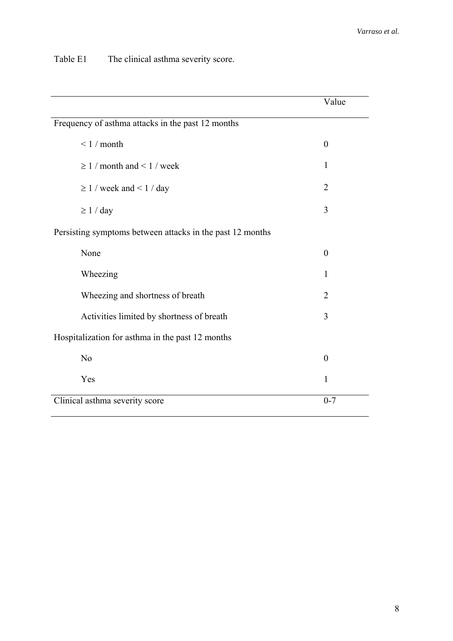Table E1 The clinical asthma severity score.

|                                                           | Value          |
|-----------------------------------------------------------|----------------|
| Frequency of asthma attacks in the past 12 months         |                |
| $< 1 /$ month                                             | $\theta$       |
| $\geq 1$ / month and < 1 / week                           | 1              |
| $\geq 1$ / week and < 1 / day                             | $\overline{2}$ |
| $\geq 1 / day$                                            | 3              |
| Persisting symptoms between attacks in the past 12 months |                |
| None                                                      | $\theta$       |
| Wheezing                                                  | 1              |
| Wheezing and shortness of breath                          | $\overline{2}$ |
| Activities limited by shortness of breath                 | 3              |
| Hospitalization for asthma in the past 12 months          |                |
| N <sub>o</sub>                                            | $\theta$       |
| Yes                                                       | $\mathbf{1}$   |
| Clinical asthma severity score                            | $0 - 7$        |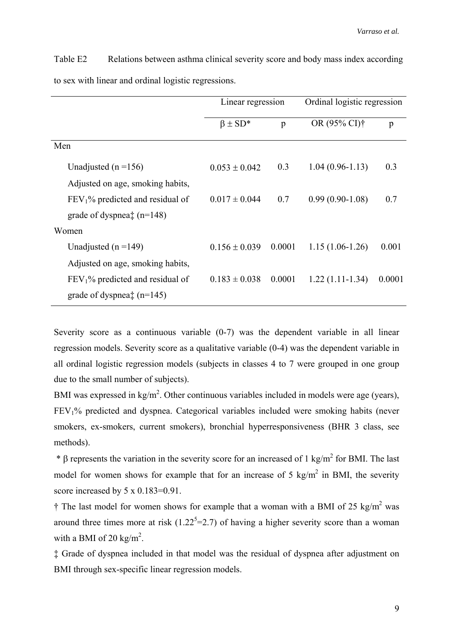|                                     | Linear regression |              |                          | Ordinal logistic regression |  |
|-------------------------------------|-------------------|--------------|--------------------------|-----------------------------|--|
|                                     | $\beta \pm SD^*$  | $\mathbf{p}$ | OR (95% CI) <sup>†</sup> | p                           |  |
| Men                                 |                   |              |                          |                             |  |
| Unadjusted ( $n = 156$ )            | $0.053 \pm 0.042$ | 0.3          | $1.04(0.96-1.13)$        | 0.3                         |  |
| Adjusted on age, smoking habits,    |                   |              |                          |                             |  |
| $FEV1$ % predicted and residual of  | $0.017 \pm 0.044$ | 0.7          | $0.99(0.90-1.08)$        | 0.7                         |  |
| grade of dyspnea $\ddagger$ (n=148) |                   |              |                          |                             |  |
| Women                               |                   |              |                          |                             |  |
| Unadjusted ( $n = 149$ )            | $0.156 \pm 0.039$ | 0.0001       | $1.15(1.06-1.26)$        | 0.001                       |  |
| Adjusted on age, smoking habits,    |                   |              |                          |                             |  |
| $FEV1$ % predicted and residual of  | $0.183 \pm 0.038$ | 0.0001       | $1.22(1.11-1.34)$        | 0.0001                      |  |
| grade of dyspnea $\ddagger$ (n=145) |                   |              |                          |                             |  |

Table E2 Relations between asthma clinical severity score and body mass index according to sex with linear and ordinal logistic regressions.

Severity score as a continuous variable  $(0-7)$  was the dependent variable in all linear regression models. Severity score as a qualitative variable (0-4) was the dependent variable in all ordinal logistic regression models (subjects in classes 4 to 7 were grouped in one group due to the small number of subjects).

BMI was expressed in  $\text{kg/m}^2$ . Other continuous variables included in models were age (years), FEV1% predicted and dyspnea. Categorical variables included were smoking habits (never smokers, ex-smokers, current smokers), bronchial hyperresponsiveness (BHR 3 class, see methods).

 $*$  β represents the variation in the severity score for an increased of 1 kg/m<sup>2</sup> for BMI. The last model for women shows for example that for an increase of 5 kg/m<sup>2</sup> in BMI, the severity score increased by 5 x 0.183=0.91.

 $\dagger$  The last model for women shows for example that a woman with a BMI of 25 kg/m<sup>2</sup> was around three times more at risk  $(1.22<sup>5</sup>=2.7)$  of having a higher severity score than a woman with a BMI of 20 kg/m<sup>2</sup>.

‡ Grade of dyspnea included in that model was the residual of dyspnea after adjustment on BMI through sex-specific linear regression models.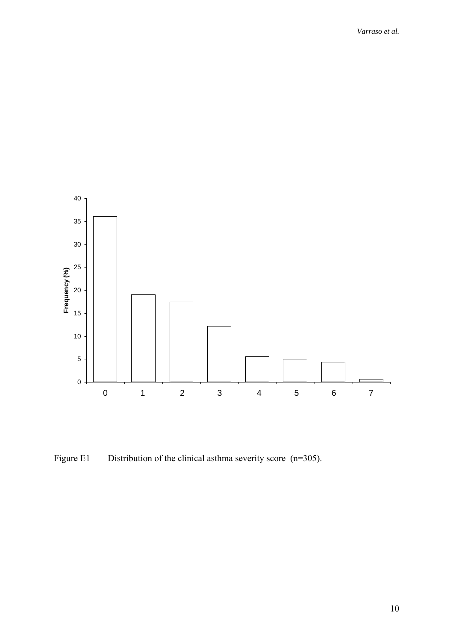

Figure E1 Distribution of the clinical asthma severity score (n=305).